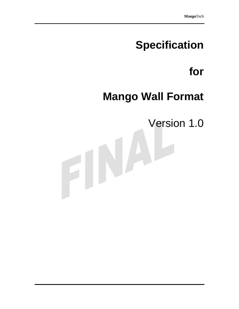# **Specification**

# **for**

# **Mango Wall Format**

Version 1.0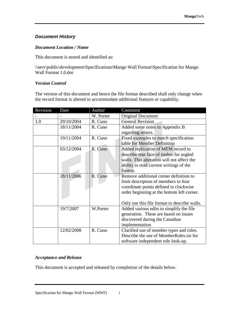## *Document History*

#### *Document Location / Name*

This document is stored and identified as:

\\serv\public\development\Specifications\Mango Wall Format\Specification for Mango Wall Format 1.0.doc

#### *Version Control*

The version of this document and hence the file format described shall only change when the record format is altered to accommodate additional features or capability.

| Revision | Date       | Author    | Comment                                      |
|----------|------------|-----------|----------------------------------------------|
|          |            | W. Porter | <b>Original Document</b>                     |
| 1.0      | 29/10/2004 | R. Cuno   | <b>General Revision</b>                      |
|          | 18/11/2004 | R. Cuno   | Added some notes to Appendix B               |
|          |            |           | regarding miters.                            |
|          | 19/11/2004 | R. Cuno   | Fixed examples to match specification        |
|          |            |           | table for Member Definition                  |
|          | 03/12/2004 | R. Cuno   | Added replication of MEM record to           |
|          |            |           | describe rear face of timber for angled      |
|          |            |           | walls. This alteration will not affect the   |
|          |            |           | ability to read current writings of the      |
|          |            |           | format.                                      |
|          | 28/11/2006 | R. Cuno   | Remove additional corner definition to       |
|          |            |           | limit description of members to four         |
|          |            |           | coordinate points defined in clockwise       |
|          |            |           | order beginning at the bottom left corner.   |
|          |            |           |                                              |
|          |            |           | Only use this file format to describe walls. |
|          | 19/7/2007  | W.Porter  | Added various edits to simplify the file     |
|          |            |           | generation. These are based on issues        |
|          |            |           | discovered during the Canadian               |
|          |            |           | implementation                               |
|          | 12/02/2008 | R. Cuno   | Clarified use of member types and roles.     |
|          |            |           | Describe the use of MemberRoles.ini for      |
|          |            |           | software independent role look-up.           |

#### *Acceptance and Release*

This document is accepted and released by completion of the details below.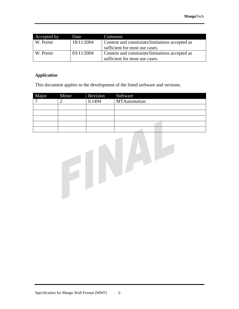| Accepted by | Date       | Comment                                         |
|-------------|------------|-------------------------------------------------|
| W. Porter   | 18/11/2004 | Content and constraints/limitations accepted as |
|             |            | sufficient for most use cases.                  |
| W. Porter   | 03/11/2004 | Content and constraints/limitations accepted as |
|             |            | sufficient for most use cases.                  |

#### *Application*

This document applies to the development of the listed software and versions.

| Major | Minor | Revision | Software     |
|-------|-------|----------|--------------|
|       |       | 0.1494   | MTAutomation |
|       |       |          |              |
|       |       |          |              |
|       |       |          |              |
|       |       |          |              |
|       |       |          |              |

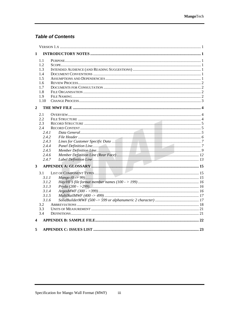## **Table of Contents**

| 1              |  |
|----------------|--|
| 1.1            |  |
| 1.2            |  |
| 1.3            |  |
| 1.4            |  |
|                |  |
| 1.5            |  |
| 1.6            |  |
| 1.7            |  |
| 1.8            |  |
| 1.9            |  |
| 1.10           |  |
| $\overline{2}$ |  |
| 2.1            |  |
| 2.2            |  |
| 2.3            |  |
| 2.4            |  |
| 2.4.1          |  |
| 2.4.2          |  |
| 2.4.3          |  |
| 2.4.4          |  |
| 2.4.5          |  |
| 2.4.6          |  |
| 2.4.7          |  |
| $\mathbf{3}$   |  |
| 3.1            |  |
| 3.1.1          |  |
| 3.1.2          |  |
| 3.1.3          |  |
| 3.1.4          |  |
| 3.1.5          |  |
| 3.1.6          |  |
| 3.2            |  |
| 3.3            |  |
| 3.4            |  |
|                |  |
| 4              |  |
| 5              |  |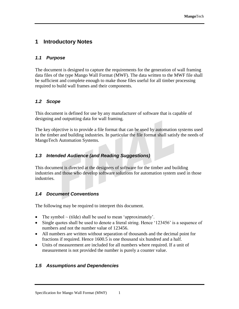# **1 Introductory Notes**

## *1.1 Purpose*

The document is designed to capture the requirements for the generation of wall framing data files of the type Mango Wall Format (MWF). The data written to the MWF file shall be sufficient and complete enough to make those files useful for all timber processing required to build wall frames and their components.

## *1.2 Scope*

This document is defined for use by any manufacturer of software that is capable of designing and outputting data for wall framing.

The key objective is to provide a file format that can be used by automation systems used in the timber and building industries. In particular the file format shall satisfy the needs of MangoTech Automation Systems.

## *1.3 Intended Audience (and Reading Suggestions)*

This document is directed at the designers of software for the timber and building industries and those who develop software solutions for automation system used in those industries.

## *1.4 Document Conventions*

The following may be required to interpret this document.

- The symbol  $\sim$  (tilde) shall be used to mean 'approximately'.
- Single quotes shall be used to denote a literal string. Hence '123456' is a sequence of numbers and not the number value of 123456.
- All numbers are written without separation of thousands and the decimal point for fractions if required. Hence 1600.5 is one thousand six hundred and a half.
- Units of measurement are included for all numbers where required. If a unit of measurement is not provided the number is purely a counter value.

## *1.5 Assumptions and Dependencies*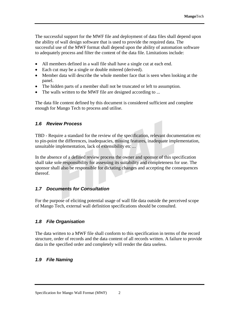The successful support for the MWF file and deployment of data files shall depend upon the ability of wall design software that is used to provide the required data. The successful use of the MWF format shall depend upon the ability of automation software to adequately process and filter the content of the data file. Limitations include:

- All members defined in a wall file shall have a single cut at each end.
- Each cut may be a single or double mitered (derived).
- Member data will describe the whole member face that is seen when looking at the panel.
- The hidden parts of a member shall not be truncated or left to assumption.
- The walls written to the MWF file are designed according to ...

The data file content defined by this document is considered sufficient and complete enough for Mango Tech to process and utilise.

## *1.6 Review Process*

TBD - Require a standard for the review of the specification, relevant documentation etc to pin-point the differences, inadequacies, missing features, inadequate implementation, unsuitable implementation, lack of extensibility etc ...

In the absence of a defined review process the owner and sponsor of this specification shall take sole responsibility for assessing its suitability and completeness for use. The sponsor shall also be responsible for dictating changes and accepting the consequences thereof.

## *1.7 Documents for Consultation*

For the purpose of eliciting potential usage of wall file data outside the perceived scope of Mango Tech, external wall definition specifications should be consulted.

## *1.8 File Organisation*

The data written to a MWF file shall conform to this specification in terms of the record structure, order of records and the data content of all records written. A failure to provide data in the specified order and completely will render the data useless.

## *1.9 File Naming*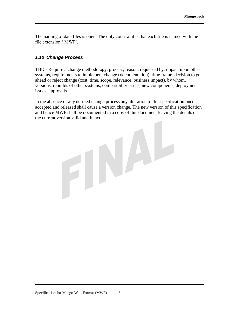The naming of data files is open. The only constraint is that each file is named with the file extension '.MWF'.

#### *1.10 Change Process*

TBD - Require a change methodology, process, reason, requested by, impact upon other systems, requirements to implement change (documentation), time frame, decision to go ahead or reject change (cost, time, scope, relevance, business impact), by whom, versions, rebuilds of other systems, compatibility issues, new components, deployment issues, approvals.

In the absence of any defined change process any alteration to this specification once accepted and released shall cause a version change. The new version of this specification and hence MWF shall be documented in a copy of this document leaving the details of the current version valid and intact.

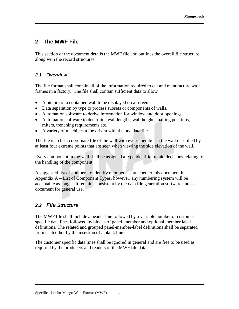# **2 The MWF File**

This section of the document details the MWF file and outlines the overall file structure along with the record structures.

## *2.1 Overview*

The file format shall contain all of the information required to cut and manufacture wall frames in a factory. The file shall contain sufficient data to allow

- A picture of a contained wall to be displayed on a screen.
- Data separation by type to process subsets or components of walls.
- Automation software to derive information for window and door openings.
- Automation software to determine wall lengths, wall heights, nailing positions, miters, trenching requirements etc.
- A variety of machines to be driven with the one data file.

The file is to be a coordinate file of the wall with every member in the wall described by at least four extreme points that are seen when viewing the side elevation of the wall.

Every component in the wall shall be assigned a type identifier to aid decisions relating to the handling of the component.

A suggested list of numbers to identify members is attached to this document in Appendix A – List of Component Types, however, any numbering system will be acceptable as long as it remains consistent by the data file generation software and is document for general use.

# *2.2 File Structure*

The MWF file shall include a header line followed by a variable number of customer specific data lines followed by blocks of panel, member and optional member label definitions. The related and grouped panel-member-label definitions shall be separated from each other by the insertion of a blank line.

The customer specific data lines shall be ignored in general and are free to be used as required by the producers and readers of the MWF file data.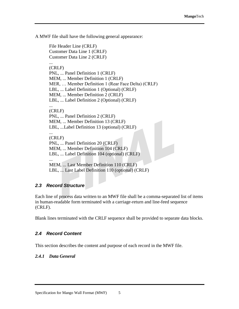A MWF file shall have the following general appearance:

File Header Line (CRLF) Customer Data Line 1 (CRLF) Customer Data Line 2 (CRLF) ... (CRLF) PNL, ... Panel Definition 1 (CRLF) MEM, ... Member Definition 1 (CRLF) MER, … Member Definition 1 (Rear Face Delta) (CRLF) LBL, ... Label Definition 1 (Optional) (CRLF) MEM, ... Member Definition 2 (CRLF) LBL, ... Label Definition 2 (Optional) (CRLF) ... (CRLF) PNL, ... Panel Definition 2 (CRLF) MEM, ... Member Definition 13 (CRLF) LBL, ...Label Definition 13 (optional) (CRLF) ... (CRLF) PNL, ... Panel Definition 20 (CRLF) MEM, ... Member Definition 104 (CRLF) LBL, ... Label Definition 104 (optional) (CRLF) ... MEM, ... Last Member Definition 110 (CRLF)

LBL, ... Last Label Definition 110 (optional) (CRLF)

## *2.3 Record Structure*

Each line of process data written to an MWF file shall be a comma-separated list of items in human-readable form terminated with a carriage-return and line-feed sequence (CRLF).

Blank lines terminated with the CRLF sequence shall be provided to separate data blocks.

## *2.4 Record Content*

This section describes the content and purpose of each record in the MWF file.

## *2.4.1 Data General*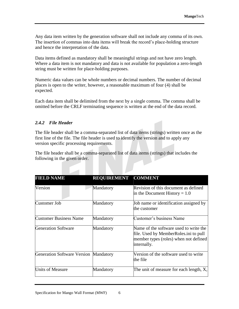Any data item written by the generation software shall not include any comma of its own. The insertion of commas into data items will break the record's place-holding structure and hence the interpretation of the data.

Data items defined as mandatory shall be meaningful strings and not have zero length. Where a data item is not mandatory and data is not available for population a zero-length string must be written for place-holding purposes.

Numeric data values can be whole numbers or decimal numbers. The number of decimal places is open to the writer, however, a reasonable maximum of four (4) shall be expected.

Each data item shall be delimited from the next by a single comma. The comma shall be omitted before the CRLF terminating sequence is written at the end of the data record.

#### *2.4.2 File Header*

The file header shall be a comma-separated list of data items (strings) written once as the first line of the file. The file header is used to identify the version and to apply any version specific processing requirements.

The file header shall be a comma-separated list of data items (strings) that includes the following in the given order.

| <b>FIELD NAME</b>                            | REQUIREMENT COMMENT |                                                                                                                                         |
|----------------------------------------------|---------------------|-----------------------------------------------------------------------------------------------------------------------------------------|
| Version                                      | Mandatory           | Revision of this document as defined<br>in the Document History = $1.0$                                                                 |
| Customer Job                                 | Mandatory           | Job name or identification assigned by<br>the customer                                                                                  |
| <b>Customer Business Name</b>                | Mandatory           | Customer's business Name                                                                                                                |
| <b>Generation Software</b>                   | Mandatory           | Name of the software used to write the<br>file. Used by MemberRoles.ini to pull<br>member types (roles) when not defined<br>internally. |
| <b>Generation Software Version Mandatory</b> |                     | Version of the software used to write<br>the file                                                                                       |
| <b>Units of Measure</b>                      | Mandatory           | The unit of measure for each length, $X$ ,                                                                                              |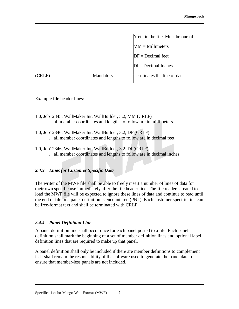|        |           | Y etc in the file. Must be one of: |
|--------|-----------|------------------------------------|
|        |           | $MM = Millimeters$                 |
|        |           | $DF = Decimal feet$                |
|        |           | $DI = Decimal$ Inches              |
| (CRLF) | Mandatory | Terminates the line of data        |

Example file header lines:

- 1.0, Job12345, WallMaker Int, WallBuilder, 3.2, MM (CRLF) ... all member coordinates and lengths to follow are in millimeters.
- 1.0, Job12346, WallMaker Int, WallBuilder, 3.2, DF (CRLF) ... all member coordinates and lengths to follow are in decimal feet.
- 1.0, Job12346, WallMaker Int, WallBuilder, 3.2, DI (CRLF) ... all member coordinates and lengths to follow are in decimal inches.

## *2.4.3 Lines for Customer Specific Data*

The writer of the MWF file shall be able to freely insert a number of lines of data for their own specific use immediately after the file header line. The file readers created to load the MWF file will be expected to ignore these lines of data and continue to read until the end of file or a panel definition is encountered (PNL). Each customer specific line can be free-format text and shall be terminated with CRLF.

## *2.4.4 Panel Definition Line*

A panel definition line shall occur once for each panel posted to a file. Each panel definition shall mark the beginning of a set of member definition lines and optional label definition lines that are required to make up that panel.

A panel definition shall only be included if there are member definitions to complement it. It shall remain the responsibility of the software used to generate the panel data to ensure that member-less panels are not included.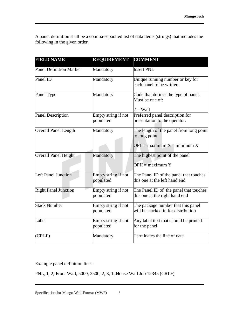A panel definition shall be a comma-separated list of data items (strings) that includes the following in the given order.

| <b>FIELD NAME</b>              | <b>REQUIREMENT</b>               | <b>COMMENT</b>                                                            |
|--------------------------------|----------------------------------|---------------------------------------------------------------------------|
| <b>Panel Definition Marker</b> | Mandatory                        | <b>Insert PNL</b>                                                         |
| Panel ID                       | Mandatory                        | Unique running number or key for<br>each panel to be written.             |
| Panel Type                     | Mandatory                        | Code that defines the type of panel.<br>Must be one of:                   |
|                                |                                  | $2 =$ Wall                                                                |
| <b>Panel Description</b>       | Empty string if not<br>populated | Preferred panel description for<br>presentation to the operator.          |
| <b>Overall Panel Length</b>    | Mandatory                        | The length of the panel from long point<br>to long point                  |
|                                |                                  | $OPL =$ maximum $X -$ minimum X                                           |
| Overall Panel Height           | Mandatory                        | The highest point of the panel                                            |
|                                |                                  | $OPH =$ maximum Y                                                         |
| <b>Left Panel Junction</b>     | Empty string if not<br>populated | The Panel ID of the panel that touches<br>this one at the left hand end   |
| <b>Right Panel Junction</b>    | Empty string if not<br>populated | The Panel ID of the panel that touches<br>this one at the right hand end  |
| <b>Stack Number</b>            | Empty string if not<br>populated | The package number that this panel<br>will be stacked in for distribution |
| Label                          | Empty string if not<br>populated | Any label text that should be printed<br>for the panel                    |
| (CRLF)                         | Mandatory                        | Terminates the line of data                                               |

Example panel definition lines:

PNL, 1, 2, Front Wall, 5000, 2500, 2, 3, 1, House Wall Job 12345 (CRLF)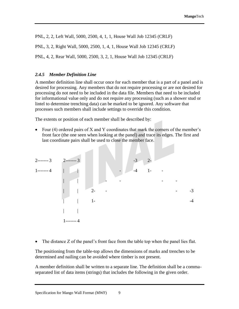PNL, 2, 2, Left Wall, 5000, 2500, 4, 1, 1, House Wall Job 12345 (CRLF)

PNL, 3, 2, Right Wall, 5000, 2500, 1, 4, 1, House Wall Job 12345 (CRLF)

PNL, 4, 2, Rear Wall, 5000, 2500, 3, 2, 1, House Wall Job 12345 (CRLF)

#### *2.4.5 Member Definition Line*

A member definition line shall occur once for each member that is a part of a panel and is desired for processing. Any members that do not require processing or are not desired for processing do not need to be included in the data file. Members that need to be included for informational value only and do not require any processing (such as a shower stud or lintel to determine trenching data) can be marked to be ignored. Any software that processes such members shall include settings to override this condition.

The extents or position of each member shall be described by:

• Four (4) ordered pairs of X and Y coordinates that mark the corners of the member's front face (the one seen when looking at the panel) and trace its edges. The first and last coordinate pairs shall be used to close the member face.

2------- 3 2------- 3 -3 2- 1------- 4 | | - -4 1- - | | - - - - | | 2- - - -3 | | 1- -4 | | 1------- 4

• The distance Z of the panel's front face from the table top when the panel lies flat.

The positioning from the table-top allows the dimensions of marks and trenches to be determined and nailing can be avoided where timber is not present.

A member definition shall be written to a separate line. The definition shall be a commaseparated list of data items (strings) that includes the following in the given order.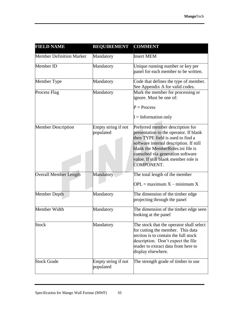| <b>FIELD NAME</b>               | <b>REQUIREMENT</b>               | <b>COMMENT</b>                                                                                                                                                                                                                                                                             |
|---------------------------------|----------------------------------|--------------------------------------------------------------------------------------------------------------------------------------------------------------------------------------------------------------------------------------------------------------------------------------------|
| <b>Member Definition Marker</b> | Mandatory                        | <b>Insert MEM</b>                                                                                                                                                                                                                                                                          |
| Member ID                       | Mandatory                        | Unique running number or key per<br>panel for each member to be written.                                                                                                                                                                                                                   |
| Member Type                     | Mandatory                        | Code that defines the type of member.<br>See Appendix A for valid codes.                                                                                                                                                                                                                   |
| Process Flag                    | Mandatory                        | Mark the member for processing or<br>ignore. Must be one of:                                                                                                                                                                                                                               |
|                                 |                                  | $P = Process$                                                                                                                                                                                                                                                                              |
|                                 |                                  | $I =$ Information only                                                                                                                                                                                                                                                                     |
| <b>Member Description</b>       | Empty string if not<br>populated | Preferred member description for<br>presentation to the operator. If blank<br>then TYPE field is used to find a<br>software internal description. If still<br>blank the MemberRoles.ini file is<br>consulted via generation software<br>value. If still blank member role is<br>COMPONENT. |
| <b>Overall Member Length</b>    | Mandatory                        | The total length of the member<br>$OPL =$ maximum $X -$ minimum X                                                                                                                                                                                                                          |
| Member Depth                    | Mandatory                        | The dimension of the timber edge<br>projecting through the panel                                                                                                                                                                                                                           |
| Member Width                    | Mandatory                        | The dimension of the timber edge seen<br>looking at the panel                                                                                                                                                                                                                              |
| <b>Stock</b>                    | Mandatory                        | The stock that the operator shall select<br>for cutting the member. This data<br>section is to contain the full stock<br>description. Don't expect the file<br>reader to extract data from here to<br>display elsewhere.                                                                   |
| <b>Stock Grade</b>              | Empty string if not<br>populated | The strength grade of timber to use                                                                                                                                                                                                                                                        |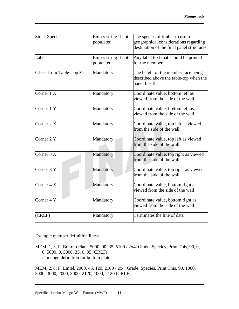| <b>Stock Species</b>    | Empty string if not | The species of timber to use for                                   |
|-------------------------|---------------------|--------------------------------------------------------------------|
|                         | populated           | geographical considerations regarding                              |
|                         |                     | destination of the final panel structures.                         |
| Label                   | Empty string if not | Any label text that should be printed                              |
|                         | populated           | for the member                                                     |
| Offset from Table-Top Z | Mandatory           | The height of the member face being                                |
|                         |                     | described above the table-top when the<br>panel lies flat          |
| Corner $1 \overline{X}$ | Mandatory           | Coordinate value, bottom left as                                   |
|                         |                     | viewed from the side of the wall                                   |
| Corner 1 Y              | Mandatory           | Coordinate value, bottom left as                                   |
|                         |                     | viewed from the side of the wall                                   |
| Corner $2 X$            | Mandatory           | Coordinate value, top left as viewed                               |
|                         |                     | from the side of the wall                                          |
| Corner 2 Y              | Mandatory           | Coordinate value, top left as viewed                               |
|                         |                     | from the side of the wall                                          |
| Corner $3\overline{X}$  | Mandatory           | Coordinate value, top right as viewed                              |
|                         |                     | from the side of the wall                                          |
| Corner $3 Y$            | Mandatory           | Coordinate value, top right as viewed<br>from the side of the wall |
|                         |                     |                                                                    |
| Corner $4\overline{X}$  | Mandatory           | Coordinate value, bottom right as                                  |
|                         |                     | viewed from the side of the wall                                   |
| Corner $4 Y$            | Mandatory           | Coordinate value, bottom right as                                  |
|                         |                     | viewed from the side of the wall                                   |
| (CRLF)                  | Mandatory           | Terminates the line of data                                        |

Example member definition lines:

MEM, 1, 3, P, Bottom Plate, 5000, 90, 35, 5100 / 2x4, Grade, Species, Print This, 90, 0, 0, 5000, 0, 5000, 35, 0, 35 (CRLF) ... mango definition for bottom plate

MEM, 2, 8, P, Lintel, 2000, 45, 120, 2100 / 2x4, Grade, Species, Print This, 90, 1000, 2000, 3000, 2000, 3000, 2120, 1000, 2120 (CRLF)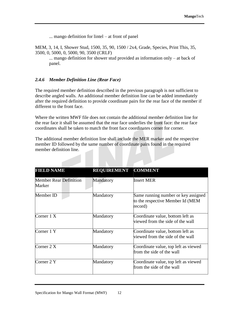... mango definition for lintel – at front of panel

MEM, 3, 14, I, Shower Stud, 1500, 35, 90, 1500 / 2x4, Grade, Species, Print This, 35, 3500, 0, 5000, 0, 5000, 90, 3500 (CRLF)

... mango definition for shower stud provided as information only – at back of panel.

#### *2.4.6 Member Definition Line (Rear Face)*

The required member definition described in the previous paragraph is not sufficient to describe angled walls. An additional member definition line can be added immediately after the required definition to provide coordinate pairs for the rear face of the member if different to the front face.

Where the written MWF file does not contain the additional member definition line for the rear face it shall be assumed that the rear face underlies the front face: the rear face coordinates shall be taken to match the front face coordinates corner for corner.

The additional member definition line shall include the MER marker and the respective member ID followed by the same number of coordinate pairs found in the required member definition line.

| <b>FIELD NAME</b>                       | <b>REQUIREMENT</b> | <b>COMMENT</b>                                                                     |
|-----------------------------------------|--------------------|------------------------------------------------------------------------------------|
| <b>Member Rear Definition</b><br>Marker | Mandatory          | <b>Insert MER</b>                                                                  |
| Member ID                               | Mandatory          | Same running number or key assigned<br>to the respective Member Id (MEM<br>record) |
| Corner $1 X$                            | Mandatory          | Coordinate value, bottom left as<br>viewed from the side of the wall               |
| Corner 1 Y                              | Mandatory          | Coordinate value, bottom left as<br>viewed from the side of the wall               |
| Corner $2 X$                            | Mandatory          | Coordinate value, top left as viewed<br>from the side of the wall                  |
| Corner 2 Y                              | Mandatory          | Coordinate value, top left as viewed<br>from the side of the wall                  |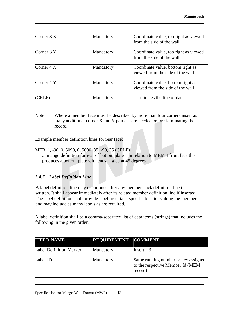| Corner $3 X$ | Mandatory | Coordinate value, top right as viewed<br>from the side of the wall    |
|--------------|-----------|-----------------------------------------------------------------------|
| Corner 3 Y   | Mandatory | Coordinate value, top right as viewed<br>from the side of the wall    |
| Corner $4 X$ | Mandatory | Coordinate value, bottom right as<br>viewed from the side of the wall |
| Corner 4 Y   | Mandatory | Coordinate value, bottom right as<br>viewed from the side of the wall |
| (CRLF)       | Mandatory | Terminates the line of data                                           |

Note: Where a member face must be described by more than four corners insert as many additional corner X and Y pairs as are needed before terminating the record.

Example member definition lines for rear face:

MER, 1, -90, 0, 5090, 0, 5090, 35, -90, 35 (CRLF) ... mango definition for rear of bottom plate – in relation to MEM 1 front face this produces a bottom plate with ends angled at 45 degrees.

## *2.4.7 Label Definition Line*

A label definition line may occur once after any member-back definition line that is written. It shall appear immediately after its related member definition line if inserted. The label definition shall provide labeling data at specific locations along the member and may include as many labels as are required.

A label definition shall be a comma-separated list of data items (strings) that includes the following in the given order.

| <b>FIELD NAME</b>              | REQUIREMENT COMMENT |                                                                                    |
|--------------------------------|---------------------|------------------------------------------------------------------------------------|
| <b>Label Definition Marker</b> | Mandatory           | <b>Insert LBL</b>                                                                  |
| Label ID                       | Mandatory           | Same running number or key assigned<br>to the respective Member Id (MEM<br>record) |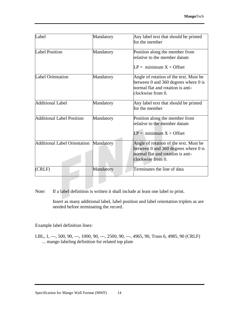| Label                               | Mandatory | Any label text that should be printed<br>for the member                                                                                  |
|-------------------------------------|-----------|------------------------------------------------------------------------------------------------------------------------------------------|
| <b>Label Position</b>               | Mandatory | Position along the member from<br>relative to the member datum                                                                           |
|                                     |           | $LP = minimum X + Offset$                                                                                                                |
| <b>Label Orientation</b>            | Mandatory | Angle of rotation of the text. Must be<br>between 0 and 360 degrees where 0 is<br>normal flat and rotation is anti-<br>clockwise from 0. |
| Additional Label                    | Mandatory | Any label text that should be printed<br>for the member                                                                                  |
| Additional Label Position           | Mandatory | Position along the member from<br>relative to the member datum<br>$LP = minimum X + Offset$                                              |
| <b>Additional Label Orientation</b> | Mandatory | Angle of rotation of the text. Must be<br>between 0 and 360 degrees where 0 is<br>normal flat and rotation is anti-<br>clockwise from 0. |
| (CRLF)                              | Mandatory | Terminates the line of data                                                                                                              |

Note: If a label definition is written it shall include at least one label to print.

Insert as many additional label, label position and label orientation triplets as are needed before terminating the record.

Example label definition lines:

LBL, 1, ---, 500, 90, ---, 1000, 90, ---, 2500, 90, ---, 4965, 90, Truss 6, 4985, 90 (CRLF) ... mango labeling definition for related top plate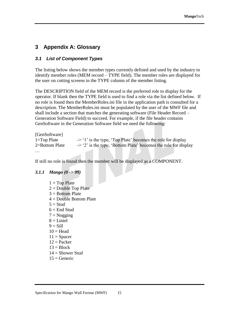## **3 Appendix A: Glossary**

#### *3.1 List of Component Types*

The listing below shows the member types currently defined and used by the industry to identify member roles (MEM record – TYPE field). The member roles are displayed for the user on cutting screens in the TYPE column of the member listing.

The DESCRIPTION field of the MEM record is the preferred role to display for the operator. If blank then the TYPE field is used to find a role via the list defined below. If no role is found then the MemberRoles.ini file in the application path is consulted for a description. The MemberRoles.ini must be populated by the user of the MWF file and shall include a section that matches the generating software (File Header Record – Generation Software Field) to succeed. For example, if the file header contains GenSoftware in the Generation Software field we need the following:

[GenSoftware] 1=Top Plate  $\rightarrow$  '1' is the type, 'Top Plate' becomes the role for display 2=Bottom Plate  $\rightarrow$  '2' is the type, 'Bottom Plate' becomes the role for display …

If still no role is found then the member will be displayed as a COMPONENT.

#### *3.1.1 Mango (0 -> 99)*

 $1 = Top$  Plate  $2 =$ Double Top Plate  $3 =$ Bottom Plate  $4 =$ Double Bottom Plate  $5 =$ Stud  $6 =$  End Stud  $7 = N$ ogging  $8 =$  Lintel  $9 =$ Sill  $10 =$ Head  $11 =$ Spacer  $12 =$  Packer  $13 = Block$  $14 =$  Shower Stud  $15 =$  Generic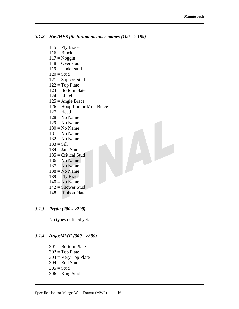#### *3.1.2 Hay/HFS file format member names (100 - > 199)*

 $115 =$  Ply Brace  $116 = Block$  $117 = Noggin$  $118 =$  Over stud  $119$  = Under stud  $120 =$ Stud  $121$  = Support stud  $122 = Top$  Plate  $123$  = Bottom plate  $124 =$ Lintel  $125$  = Angle Brace 126 = Hoop Iron or Mini Brace  $127 = Head$  $128$  = No Name  $129 = No Name$  $130 = No$  Name  $131 = No$  Name  $132$  = No Name  $133 =$  Sill  $134 =$  Jam Stud  $135$  = Critical Stud  $136 = No Name$  $137 = No$  Name  $138 = No$  Name  $139 =$  Ply Brace  $140 = No$  Name  $142$  = Shower Stud

 $148$  = Ribbon Plate

#### *3.1.3 Pryda (200 - >299)*

No types defined yet.

#### *3.1.4 ArgosMWF (300 - >399)*

 $301$  = Bottom Plate  $302 = Top$  Plate  $303 = \text{Very Top Plate}$  $304$  = End Stud  $305 =$ Stud  $306 =$ King Stud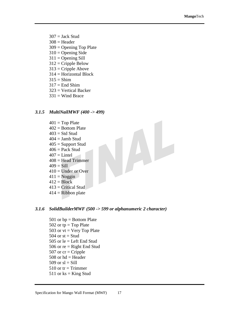- $307 =$  Jack Stud
- $308$  = Header
- 309 = Opening Top Plate
- $310 =$ Opening Side
- $311 =$  Opening Sill
- $312$  = Cripple Below
- $313$  = Cripple Above
- $314 =$  Horizontal Block
- $315 =$ Shim
- $317 =$  End Shim
- 323 = Vertical Backer
- $331 =$  Wind Brace

#### *3.1.5 MultiNailMWF (400 -> 499)*

- $401 = Top$  Plate  $402$  = Bottom Plate  $403 =$  Std Stud  $404 =$  Jamb Stud  $405$  = Support Stud  $406$  = Pack Stud  $407$  = Lintel  $408$  = Head Trimmer  $409 =$ Sill  $410$  = Under or Over  $411 = Noggin$  $412 = Block$  $413$  = Critical Stud
- $414$  = Ribbon plate

#### *3.1.6 SolidBuilderMWF (500 -> 599 or alphanumeric 2 character)*

- 501 or  $bp = Bottom$  Plate 502 or  $tp = Top$  Plate 503 or  $vt = V$ ery Top Plate 504 or  $st = Stud$ 505 or  $le =$  Left End Stud 506 or  $re = Right$  End Stud 507 or  $cr = Cripple$ 508 or  $hd =$  Header 509 or  $sl = Sill$ 510 or  $tr = T$ rimmer 511 or  $\text{ks} = \text{King Stud}$
- Specification for Mango Wall Format (MWF) 17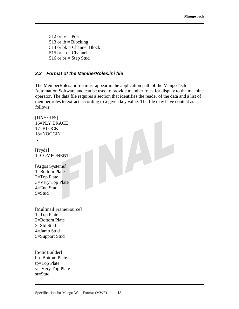$512$  or  $ps = Post$ 513 or  $lb = Blocking$ 514 or  $bk = Channel Block$ 515 or  $ch = Channel$ 516 or  $bs = Step$  Stud

#### *3.2 Format of the MemberRoles.ini file*

The MemberRoles.ini file must appear in the application path of the MangoTech Automation Software and can be used to provide member roles for display to the machine operator. The data file requires a section that identifies the reader of the data and a list of member roles to extract according to a given key value. The file may have content as follows:

```
[HAY/HFS]
16=PLY BRACE
17=BLOCK
18=NOGGIN
…
[Pryda]
1=COMPONENT
[Argos Systems]
1=Bottom Plate
2=Top Plate
3=Very Top Plate
4=End Stud
5=Stud
…
[Multinail FrameSource]
1=Top Plate
2=Bottom Plate
3=Std Stud
4=Jamb Stud
5=Support Stud
…
[SolidBuilder]
bp=Bottom Plate
tp=Top Plate
vt=Very Top Plate
st=Stud
```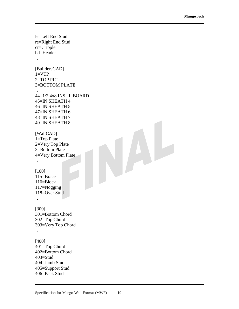```
le=Left End Stud
re=Right End Stud
cr=Cripple
hd=Header
…
[BuildersCAD]
1=VTP2=TOP PLT
3=BOTTOM PLATE
…
44=1/2 4x8 INSUL BOARD
45=IN SHEATH 4
46=IN SHEATH 5
47=IN SHEATH 6
48=IN SHEATH 7
49=IN SHEATH 8
[WallCAD]
1=Top Plate
2=Very Top Plate
3=Bottom Plate
4=Very Bottom Plate
…
[100]
115=Brace
116=Block
117=Nogging
118=Over Stud
…
[300]
301=Bottom Chord
302=Top Chord
303=Very Top Chord
…
[400]
401=Top Chord
402=Bottom Chord
403=Stud
404=Jamb Stud
405=Support Stud
406=Pack Stud
```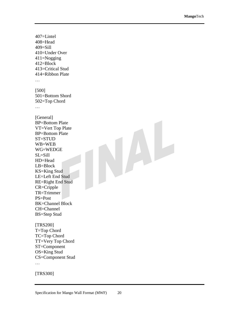407=Lintel 408=Head 409=Sill 410=Under Over 411=Nogging 412=Block 413=Critical Stud 414=Ribbon Plate … [500] 501=Bottom Shord 502=Top Chord … [General] BP=Bottom Plate VT=Vert Top Plate BP=Bottom Plate ST=STUD WB=WEB WG=WEDGE SL=Sill HD=Head LB=Block KS=King Stud LE=Left End Stud RE=Right End Stud CR=Cripple TR=Trimmer PS=Post BK=Channel Block CH=Channel BS=Step Stud [TRS200] T=Top Chord TC=Top Chord TT=Very Top Chord ST=Component

…

[TRS300]

OS=King Stud

CS=Component Stud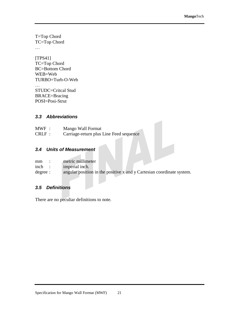T=Top Chord TC=Top Chord

…

[TPS41] TC=Top Chord BC=Bottom Chord WEB=Web TURBO=Turb-O-Web

… STUDC=Critcal Stud BRACE=Bracing POSI=Posi-Strut

#### *3.3 Abbreviations*

| $MWF$ : | Mango Wall Format                       |
|---------|-----------------------------------------|
| CRLF:   | Carriage-return plus Line Feed sequence |

## *3.4 Units of Measurement*

| mm       | metric millimeter                                                     |
|----------|-----------------------------------------------------------------------|
| inch     | imperial inch.                                                        |
| degree : | angular position in the positive x and y Cartesian coordinate system. |

#### *3.5 Definitions*

There are no peculiar definitions to note.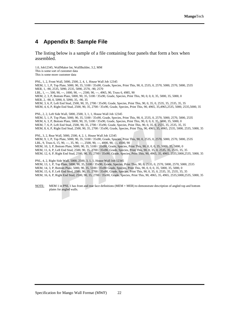## **4 Appendix B: Sample File**

The listing below is a sample of a file containing four panels that form a box when assembled.

1.0, Job12345, WallMaker Int, WallBuilder, 3.2, MM This is some sort of customer data This is some more customer data

PNL, 1, 2, Front Wall, 5000, 2500, 2, 4, 1, House Wall Job 12345 MEM, 1, 1, P, Top Plate, 5000, 90, 35, 5100 / 35x90, Grade, Species, Print This, 90, 0, 2535, 0, 2570, 5000, 2570, 5000, 2535 MER, 1, -90, 2535, 5090, 2535, 5090, 2570, -90, 2570 LBL, 1, ---, 500, 90, ---, 1000, 90, ---, 2500, 90, ---, 4965, 90, Truss 6, 4985, 90 MEM, 2, 3, P, Bottom Plate, 5000, 90, 35, 5100 / 35x90, Grade, Species, Print This, 90, 0, 0, 0, 35, 5000, 35, 5000, 0 MER, 2, -90, 0, 5090, 0, 5090, 35, -90, 35 MEM, 3, 6, P, Left End Stud, 2500, 90, 35, 2700 / 35x90, Grade, Species, Print This, 90, 0, 35, 0, 2535, 35, 2535, 35, 35 MEM, 4, 6, P, Right End Stud, 2500, 90, 35, 2700 / 35x90, Grade, Species, Print This, 90, 4965, 35,4965,2535, 5000, 2535,5000, 35 PNL, 2, 2, Left Side Wall, 5000, 2500, 3, 1, 1, House Wall Job 12345 MEM, 5, 1, P, Top Plate, 5000, 90, 35, 5100 / 35x90, Grade, Species, Print This, 90, 0, 2535, 0, 2570, 5000, 2570, 5000, 2535 MEM, 6, 3, P, Bottom Plate, 5000, 90, 35, 5100 / 35x90, Grade, Species, Print This, 90, 0, 0, 0, 35, 5000, 35, 5000, 0 MEM, 7, 6, P, Left End Stud, 2500, 90, 35, 2700 / 35x90, Grade, Species, Print This, 90, 0, 35, 0, 2535, 35, 2535, 35, 35 MEM, 8, 6, P, Right End Stud, 2500, 90, 35, 2700 / 35x90, Grade, Species, Print This, 90, 4965, 35, 4965, 2535, 5000, 2535, 5000, 35 PNL, 3, 2, Rear Wall, 5000, 2500, 4, 2, 1, House Wall Job 12345

MEM, 9, 1, P, Top Plate, 5000, 90, 35, 5100 / 35x90, Grade, Species, Print This, 90, 0, 2535, 0, 2570, 5000, 2570, 5000, 2535 LBL, 9, Truss 6, 15, 90, ---, 35, 90, ---, 2500, 90, ---, 4000, 90, ---, 4500, 90 MEM, 10, 3, P, Bottom Plate, 5000, 90, 35, 5100 / 35x90, Grade, Species, Print This, 90, 0, 0, 0, 35, 5000, 35, 5000, 0 MEM, 11, 6, P, Left End Stud, 2500, 90, 35, 2700 / 35x90, Grade, Species, Print This, 90, 0, 35, 0, 2535, 35, 2535, 35, 35 MEM, 12, 6, P, Right End Stud, 2500, 90, 35, 2700 / 35x90, Grade, Species, Print This, 90, 4965, 35, 4965, 2535,5000,2535, 5000, 35

PNL, 4, 2, Right Side Wall, 5000, 2500, 3, 1, 1, House Wall Job 12345 MEM, 13, 1, P, Top Plate, 5000, 90, 35, 5100 / 35x90, Grade, Species, Print This, 90, 0, 2535, 0, 2570, 5000, 2570, 5000, 2535 MEM, 14, 3, P, Bottom Plate, 5000, 90, 35, 5100 / 35x90 Grade, Species, Print This, 90, 0, 0, 0, 35, 5000, 35, 5000, 0 MEM, 15, 6, P, Left End Stud, 2500, 90, 35, 2700 / 35x90, Grade, Species, Print This, 90, 0, 35, 0, 2535, 35, 2535, 35, 35 MEM, 16, 6, P, Right End Stud, 2500, 90, 35, 2700 / 35x90, Grade, Species, Print This, 90, 4965, 35, 4965, 2535,5000,2535, 5000, 35

NOTE: MEM 1 in PNL 1 has front and rear face definitions (MEM + MER) to demonstrate description of angled top and bottom plates for angled walls.